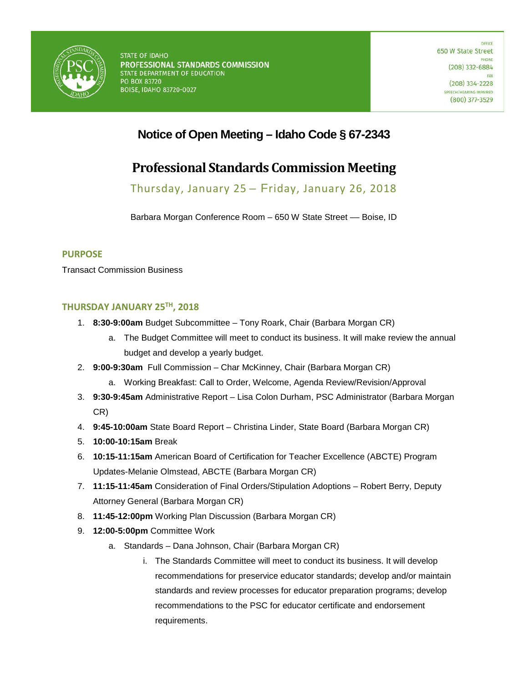

## **Notice of Open Meeting – Idaho Code § 67-2343**

# **Professional Standards Commission Meeting**

Thursday, January 25 – Friday, January 26, 2018

Barbara Morgan Conference Room - 650 W State Street - Boise, ID

#### **PURPOSE**

Transact Commission Business

### **THURSDAY JANUARY 25TH, 2018**

- 1. **8:30-9:00am** Budget Subcommittee Tony Roark, Chair (Barbara Morgan CR)
	- a. The Budget Committee will meet to conduct its business. It will make review the annual budget and develop a yearly budget.
- 2. **9:00-9:30am** Full Commission Char McKinney, Chair (Barbara Morgan CR)
	- a. Working Breakfast: Call to Order, Welcome, Agenda Review/Revision/Approval
- 3. **9:30-9:45am** Administrative Report Lisa Colon Durham, PSC Administrator (Barbara Morgan CR)
- 4. **9:45-10:00am** State Board Report Christina Linder, State Board (Barbara Morgan CR)
- 5. **10:00-10:15am** Break
- 6. **10:15-11:15am** American Board of Certification for Teacher Excellence (ABCTE) Program Updates-Melanie Olmstead, ABCTE (Barbara Morgan CR)
- 7. **11:15-11:45am** Consideration of Final Orders/Stipulation Adoptions Robert Berry, Deputy Attorney General (Barbara Morgan CR)
- 8. **11:45-12:00pm** Working Plan Discussion (Barbara Morgan CR)
- 9. **12:00-5:00pm** Committee Work
	- a. Standards Dana Johnson, Chair (Barbara Morgan CR)
		- i. The Standards Committee will meet to conduct its business. It will develop recommendations for preservice educator standards; develop and/or maintain standards and review processes for educator preparation programs; develop recommendations to the PSC for educator certificate and endorsement requirements.